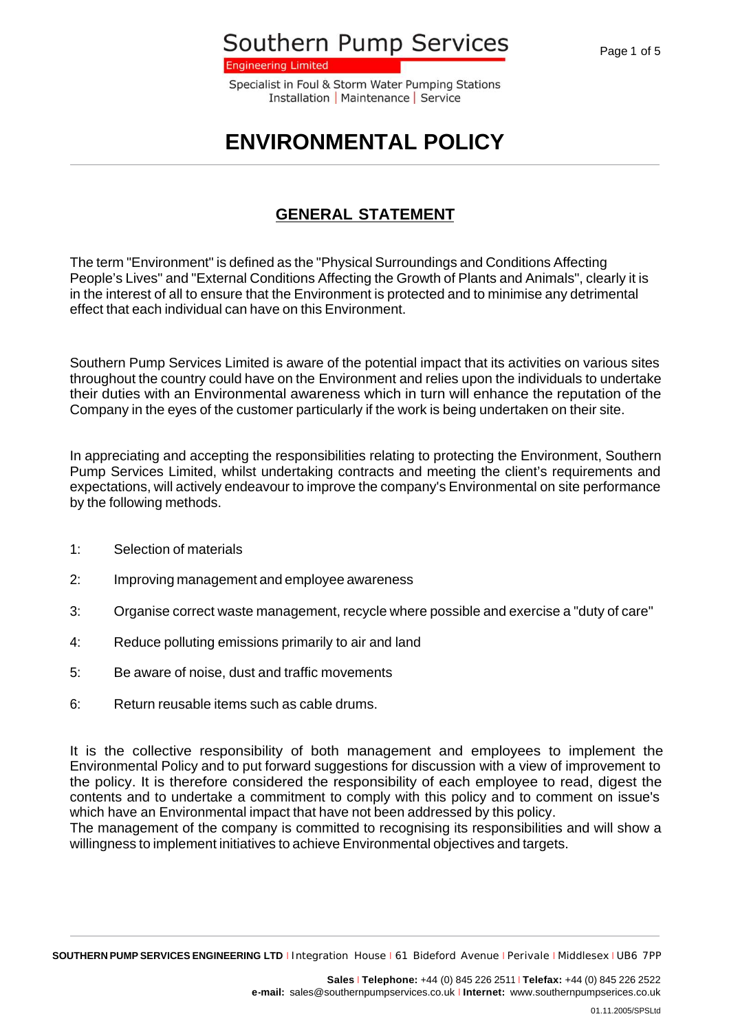**Engineering Limited** 

Specialist in Foul & Storm Water Pumping Stations Installation | Maintenance | Service

# **ENVIRONMENTAL POLICY**

### **GENERAL STATEMENT**

The term "Environment" is defined as the "Physical Surroundings and Conditions Affecting People's Lives" and "External Conditions Affecting the Growth of Plants and Animals", clearly it is in the interest of all to ensure that the Environment is protected and to minimise any detrimental effect that each individual can have on this Environment.

Southern Pump Services Limited is aware of the potential impact that its activities on various sites throughout the country could have on the Environment and relies upon the individuals to undertake their duties with an Environmental awareness which in turn will enhance the reputation of the Company in the eyes of the customer particularly if the work is being undertaken on their site.

In appreciating and accepting the responsibilities relating to protecting the Environment, Southern Pump Services Limited, whilst undertaking contracts and meeting the client's requirements and expectations, will actively endeavour to improve the company's Environmental on site performance by the following methods.

- 1: Selection of materials
- 2: Improving management and employee awareness
- 3: Organise correct waste management, recycle where possible and exercise a "duty of care"
- 4: Reduce polluting emissions primarily to air and land
- 5: Be aware of noise, dust and traffic movements
- 6: Return reusable items such as cable drums.

It is the collective responsibility of both management and employees to implement the Environmental Policy and to put forward suggestions for discussion with a view of improvement to the policy. It is therefore considered the responsibility of each employee to read, digest the contents and to undertake a commitment to comply with this policy and to comment on issue's which have an Environmental impact that have not been addressed by this policy.

The management of the company is committed to recognising its responsibilities and will show a willingness to implement initiatives to achieve Environmental objectives and targets.

**SOUTHERN PUMP SERVICES ENGINEERING LTD** <sup>I</sup> Integration House <sup>I</sup> 61 Bideford Avenue <sup>I</sup> Perivale <sup>I</sup> Middlesex <sup>I</sup> UB6 7PP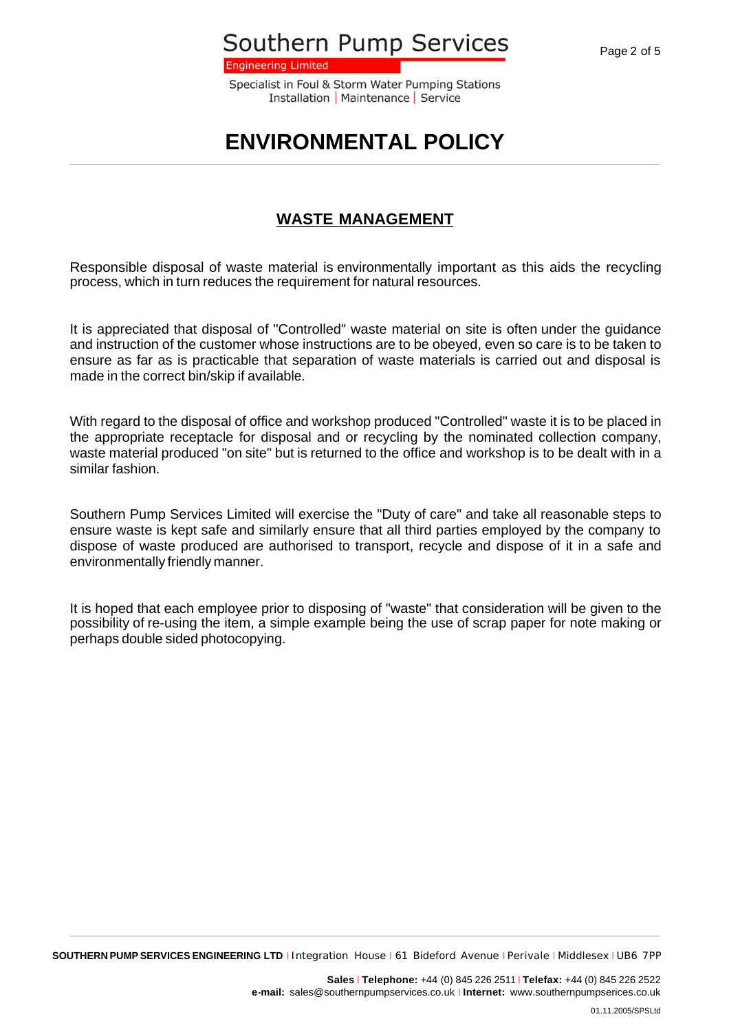**Engineering Limited** 

Specialist in Foul & Storm Water Pumping Stations Installation | Maintenance | Service

### **ENVIRONMENTAL POLICY**

#### **WASTE MANAGEMENT**

Responsible disposal of waste material is environmentally important as this aids the recycling process, which in turn reduces the requirement for natural resources.

It is appreciated that disposal of "Controlled" waste material on site is often under the guidance and instruction of the customer whose instructions are to be obeyed, even so care is to be taken to ensure as far as is practicable that separation of waste materials is carried out and disposal is made in the correct bin/skip if available.

With regard to the disposal of office and workshop produced "Controlled" waste it is to be placed in the appropriate receptacle for disposal and or recycling by the nominated collection company, waste material produced "on site" but is returned to the office and workshop is to be dealt with in a similar fashion.

Southern Pump Services Limited will exercise the "Duty of care" and take all reasonable steps to ensure waste is kept safe and similarly ensure that all third parties employed by the company to dispose of waste produced are authorised to transport, recycle and dispose of it in a safe and environmentally friendly manner.

It is hoped that each employee prior to disposing of "waste" that consideration will be given to the possibility of re-using the item, a simple example being the use of scrap paper for note making or perhaps double sided photocopying.

**SOUTHERN PUMP SERVICES ENGINEERING LTD** <sup>I</sup> Integration House <sup>I</sup> 61 Bideford Avenue <sup>I</sup> Perivale <sup>I</sup> Middlesex <sup>I</sup> UB6 7PP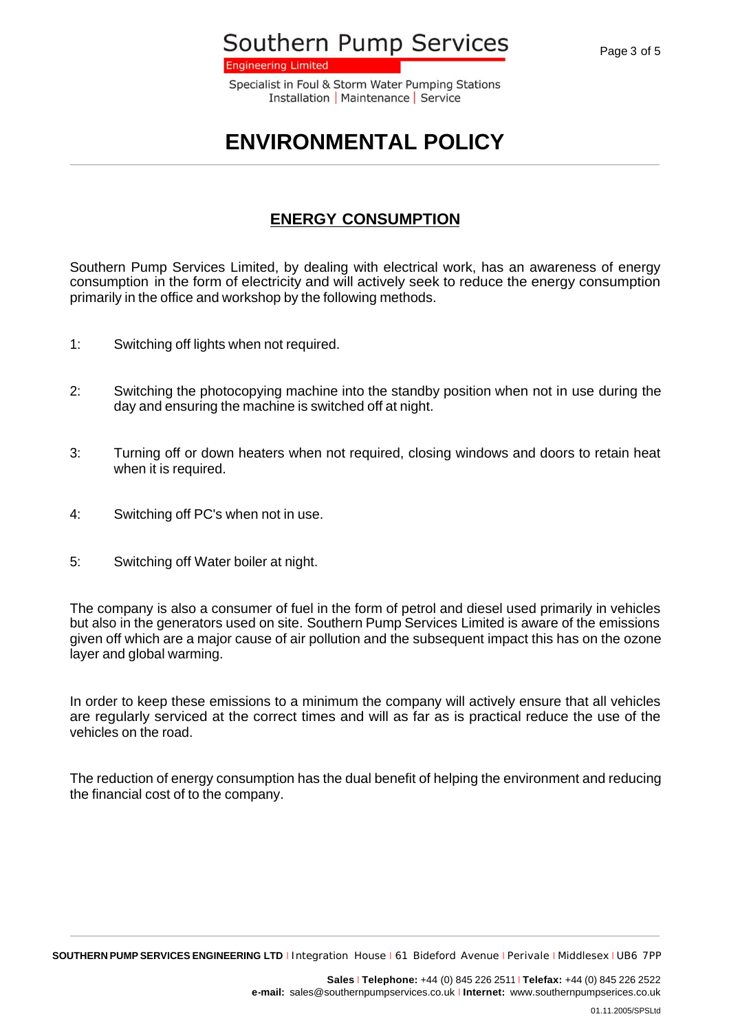**Engineering Limited** 

Specialist in Foul & Storm Water Pumping Stations Installation | Maintenance | Service

# **ENVIRONMENTAL POLICY**

#### **ENERGY CONSUMPTION**

Southern Pump Services Limited, by dealing with electrical work, has an awareness of energy consumption in the form of electricity and will actively seek to reduce the energy consumption primarily in the office and workshop by the following methods.

- 1: Switching off lights when not required.
- 2: Switching the photocopying machine into the standby position when not in use during the day and ensuring the machine is switched off at night.
- 3: Turning off or down heaters when not required, closing windows and doors to retain heat when it is required.
- 4: Switching off PC's when not in use.
- 5: Switching off Water boiler at night.

The company is also a consumer of fuel in the form of petrol and diesel used primarily in vehicles but also in the generators used on site. Southern Pump Services Limited is aware of the emissions given off which are a major cause of air pollution and the subsequent impact this has on the ozone layer and global warming.

In order to keep these emissions to a minimum the company will actively ensure that all vehicles are regularly serviced at the correct times and will as far as is practical reduce the use of the vehicles on the road.

The reduction of energy consumption has the dual benefit of helping the environment and reducing the financial cost of to the company.

**SOUTHERN PUMP SERVICES ENGINEERING LTD** <sup>I</sup> Integration House <sup>I</sup> 61 Bideford Avenue <sup>I</sup> Perivale <sup>I</sup> Middlesex <sup>I</sup> UB6 7PP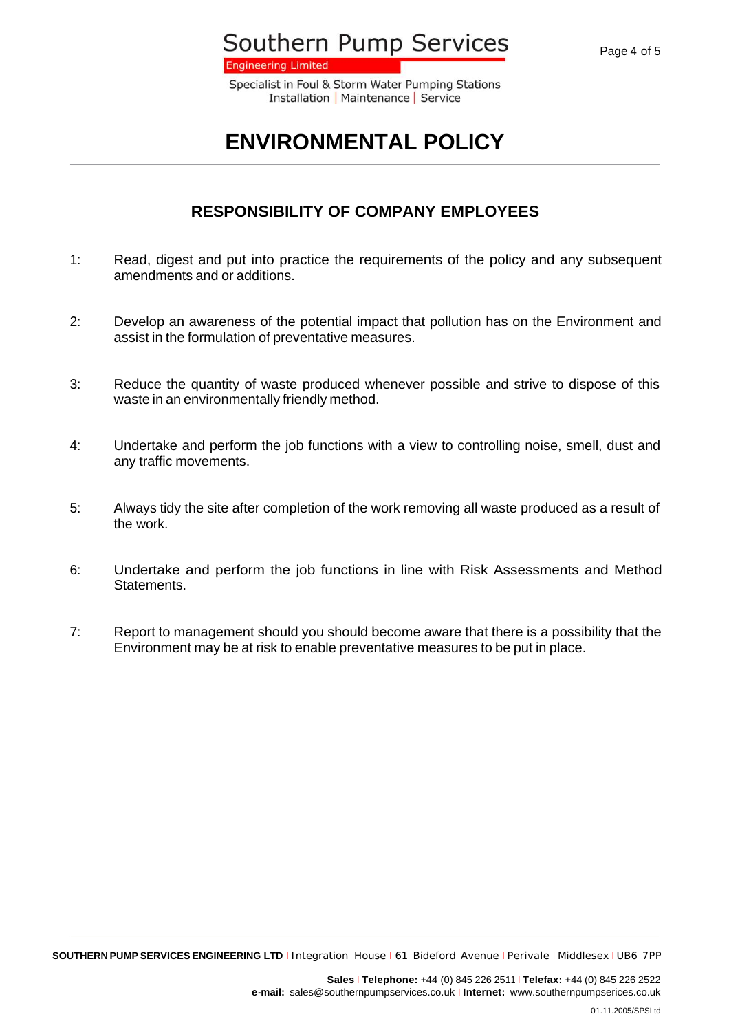**Engineering Limited** 

Specialist in Foul & Storm Water Pumping Stations Installation | Maintenance | Service

# **ENVIRONMENTAL POLICY**

#### **RESPONSIBILITY OF COMPANY EMPLOYEES**

- 1: Read, digest and put into practice the requirements of the policy and any subsequent amendments and or additions.
- 2: Develop an awareness of the potential impact that pollution has on the Environment and assist in the formulation of preventative measures.
- 3: Reduce the quantity of waste produced whenever possible and strive to dispose of this waste in an environmentally friendly method.
- 4: Undertake and perform the job functions with a view to controlling noise, smell, dust and any traffic movements.
- 5: Always tidy the site after completion of the work removing all waste produced as a result of the work.
- 6: Undertake and perform the job functions in line with Risk Assessments and Method Statements.
- 7: Report to management should you should become aware that there is a possibility that the Environment may be at risk to enable preventative measures to be put in place.

**SOUTHERN PUMP SERVICES ENGINEERING LTD** <sup>I</sup> Integration House <sup>I</sup> 61 Bideford Avenue <sup>I</sup> Perivale <sup>I</sup> Middlesex <sup>I</sup> UB6 7PP